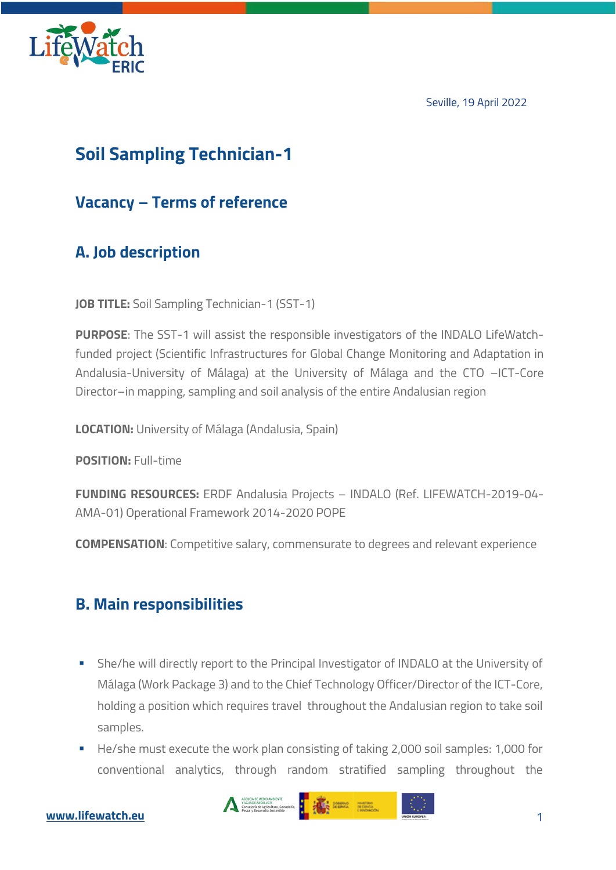

Seville, 19 April 2022



# **Soil Sampling Technician-1**

#### **Vacancy – Terms of reference**

## **A. Job description**

**JOB TITLE:** Soil Sampling Technician-1 (SST-1)

**PURPOSE**: The SST-1 will assist the responsible investigators of the INDALO LifeWatchfunded project (Scientific Infrastructures for Global Change Monitoring and Adaptation in Andalusia-University of Málaga) at the University of Málaga and the CTO –ICT-Core Director–in mapping, sampling and soil analysis of the entire Andalusian region

**LOCATION:** University of Málaga (Andalusia, Spain)

**POSITION:** Full-time

**FUNDING RESOURCES:** ERDF Andalusia Projects – INDALO (Ref. LIFEWATCH-2019-04- AMA-01) Operational Framework 2014-2020 POPE

**COMPENSATION**: Competitive salary, commensurate to degrees and relevant experience

### **B. Main responsibilities**

- **•** She/he will directly report to the Principal Investigator of INDALO at the University of Málaga (Work Package 3) and to the Chief Technology Officer/Director of the ICT-Core, holding a position which requires travel throughout the Andalusian region to take soil samples.
- He/she must execute the work plan consisting of taking 2,000 soil samples: 1,000 for conventional analytics, through random stratified sampling throughout the

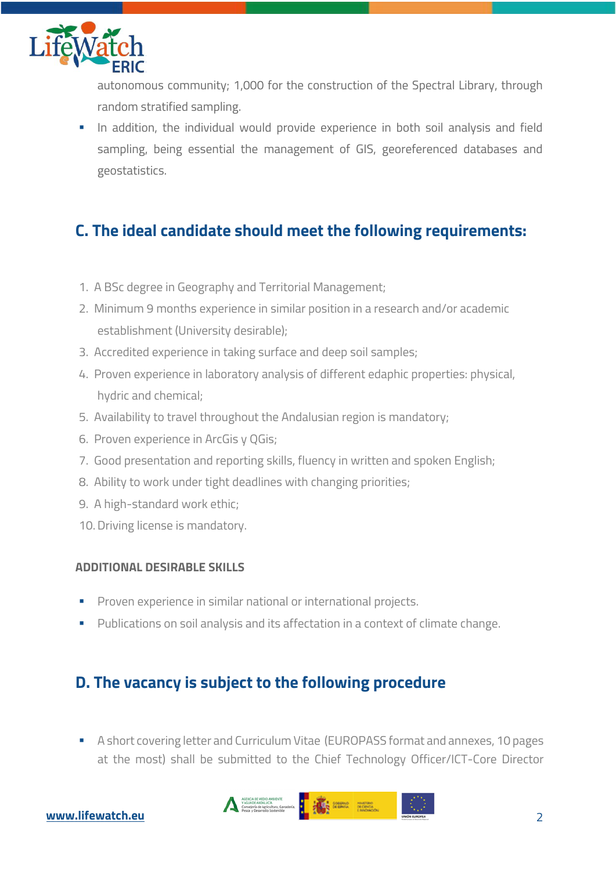

autonomous community; 1,000 for the construction of the Spectral Library, through random stratified sampling.

**•** In addition, the individual would provide experience in both soil analysis and field sampling, being essential the management of GIS, georeferenced databases and geostatistics.

### **C. The ideal candidate should meet the following requirements:**

- 1. A BSc degree in Geography and Territorial Management;
- 2. Minimum 9 months experience in similar position in a research and/or academic establishment (University desirable);
- 3. Accredited experience in taking surface and deep soil samples;
- 4. Proven experience in laboratory analysis of different edaphic properties: physical, hydric and chemical;
- 5. Availability to travel throughout the Andalusian region is mandatory;
- 6. Proven experience in ArcGis y QGis;
- 7. Good presentation and reporting skills, fluency in written and spoken English;
- 8. Ability to work under tight deadlines with changing priorities;
- 9. A high-standard work ethic;
- 10. Driving license is mandatory.

#### **ADDITIONAL DESIRABLE SKILLS**

- **Proven experience in similar national or international projects.**
- § Publications on soil analysis and its affectation in a context of climate change.

#### **D. The vacancy is subject to the following procedure**

§ A short covering letter and Curriculum Vitae (EUROPASS format and annexes, 10 pages at the most) shall be submitted to the Chief Technology Officer/ICT-Core Director